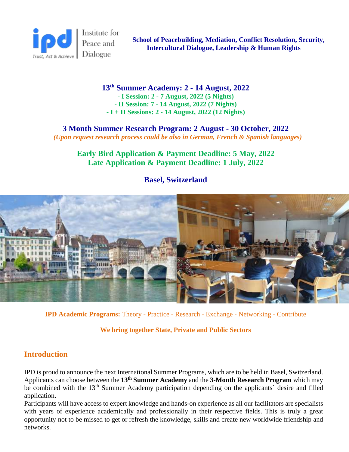

 **School of Peacebuilding, Mediation, Conflict Resolution, Security, Intercultural Dialogue, Leadership & Human Rights**

**13th Summer Academy: 2 - 14 August, 2022 - I Session: 2 - 7 August, 2022 (5 Nights)**

**- II Session: 7 - 14 August, 2022 (7 Nights) - I + II Sessions: 2 - 14 August, 2022 (12 Nights)**

**3 Month Summer Research Program: 2 August - 30 October, 2022** *(Upon request research process could be also in German, French & Spanish languages)*

**Early Bird Application & Payment Deadline: 5 May, 2022 Late Application & Payment Deadline: 1 July, 2022**

## **Basel, Switzerland**



**IPD Academic Programs:** Theory - Practice - Research - Exchange - Networking - Contribute

**We bring together State, Private and Public Sectors**

## **Introduction**

IPD is proud to announce the next International Summer Programs, which are to be held in Basel, Switzerland. Applicants can choose between the **13th Summer Academy** and the **3-Month Research Program** which may be combined with the 13<sup>th</sup> Summer Academy participation depending on the applicants` desire and filled application.

Participants will have access to expert knowledge and hands-on experience as all our facilitators are specialists with years of experience academically and professionally in their respective fields. This is truly a great opportunity not to be missed to get or refresh the knowledge, skills and create new worldwide friendship and networks.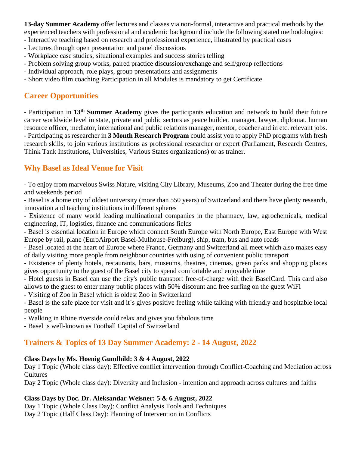**13-day Summer Academy** offer lectures and classes via non-formal, interactive and practical methods by the experienced teachers with professional and academic background include the following stated methodologies:

- Interactive teaching based on research and professional experience, illustrated by practical cases
- Lectures through open presentation and panel discussions
- Workplace case studies, situational examples and success stories telling
- Problem solving group works, paired practice discussion/exchange and self/group reflections
- Individual approach, role plays, group presentations and assignments
- Short video film coaching Participation in all Modules is mandatory to get Certificate.

# **Career Opportunities**

- Participation in **13th Summer Academy** gives the participants education and network to build their future career worldwide level in state, private and public sectors as peace builder, manager, lawyer, diplomat, human resource officer, mediator, international and public relations manager, mentor, coacher and in etc. relevant jobs. - Participating as researcher in **3 Month Research Program** could assist you to apply PhD programs with fresh research skills, to join various institutions as professional researcher or expert (Parliament, Research Centres, Think Tank Institutions, Universities, Various States organizations) or as trainer.

# **Why Basel as Ideal Venue for Visit**

- To enjoy from marvelous Swiss Nature, visiting City Library, Museums, Zoo and Theater during the free time and weekends period

- Basel is a home city of oldest university (more than 550 years) of Switzerland and there have plenty research, innovation and teaching institutions in different spheres

- Existence of many world leading multinational companies in the pharmacy, law, agrochemicals, medical engineering, IT, logistics, finance and communications fields

- Basel is essential location in Europe which connect South Europe with North Europe, East Europe with West Europe by rail, plane (EuroAirport Basel-Mulhouse-Freiburg), ship, tram, bus and auto roads

- Basel located at the heart of Europe where France, Germany and Switzerland all meet which also makes easy of daily visiting more people from neighbour countries with using of convenient public transport

- Existence of plenty hotels, restaurants, bars, museums, theatres, cinemas, green parks and shopping places gives opportunity to the guest of the Basel city to spend comfortable and enjoyable time

- Hotel guests in Basel can use the city's public transport free-of-charge with their BaselCard. This card also allows to the guest to enter many public places with 50% discount and free surfing on the guest WiFi

- Visiting of Zoo in Basel which is oldest Zoo in Switzerland

- Basel is the safe place for visit and it`s gives positive feeling while talking with friendly and hospitable local people

- Walking in Rhine riverside could relax and gives you fabulous time

- Basel is well-known as Football Capital of Switzerland

# **Trainers & Topics of 13 Day Summer Academy: 2 - 14 August, 2022**

### **Class Days by Ms. Hoenig Gundhild: 3 & 4 August, 2022**

Day 1 Topic (Whole class day): Effective conflict intervention through Conflict-Coaching and Mediation across Cultures

Day 2 Topic (Whole class day): Diversity and Inclusion - intention and approach across cultures and faiths

### **Class Days by Doc. Dr. Aleksandar Weisner: 5 & 6 August, 2022**

Day 1 Topic (Whole Class Day): Conflict Analysis Tools and Techniques Day 2 Topic (Half Class Day): Planning of Intervention in Conflicts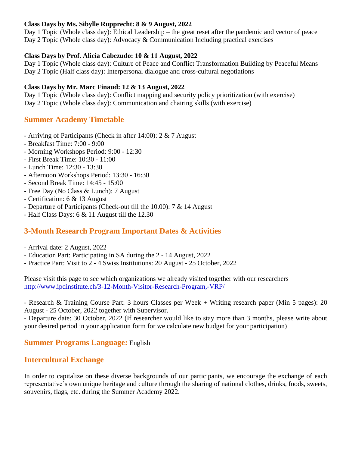#### **Class Days by Ms. Sibylle Rupprecht: 8 & 9 August, 2022**

Day 1 Topic (Whole class day): Ethical Leadership – the great reset after the pandemic and vector of peace Day 2 Topic (Whole class day): Advocacy & Communication Including practical exercises

#### **Class Days by Prof. Alicia Cabezudo: 10 & 11 August, 2022**

Day 1 Topic (Whole class day): Culture of Peace and Conflict Transformation Building by Peaceful Means Day 2 Topic (Half class day): Interpersonal dialogue and cross-cultural negotiations

#### **Class Days by Mr. Marc Finaud: 12 & 13 August, 2022**

Day 1 Topic (Whole class day): Conflict mapping and security policy prioritization (with exercise) Day 2 Topic (Whole class day): Communication and chairing skills (with exercise)

## **Summer Academy Timetable**

- Arriving of Participants (Check in after 14:00): 2 & 7 August
- Breakfast Time: 7:00 9:00
- Morning Workshops Period: 9:00 12:30
- First Break Time: 10:30 11:00
- Lunch Time: 12:30 13:30
- Afternoon Workshops Period: 13:30 16:30
- Second Break Time: 14:45 15:00
- Free Day (No Class & Lunch): 7 August
- Certification: 6 & 13 August
- Departure of Participants (Check-out till the 10.00): 7 & 14 August
- Half Class Days: 6 & 11 August till the 12.30

## **3-Month Research Program Important Dates & Activities**

- Arrival date: 2 August, 2022
- Education Part: Participating in SA during the 2 14 August, 2022
- Practice Part: Visit to 2 4 Swiss Institutions: 20 August 25 October, 2022

Please visit this page to see which organizations we already visited together with our researchers http://www.ipdinstitute.ch/3-12-Month-Visitor-Research-Program,-VRP/

- Research & Training Course Part: 3 hours Classes per Week + Writing research paper (Min 5 pages): 20 August - 25 October, 2022 together with Supervisor.

- Departure date: 30 October, 2022 (If researcher would like to stay more than 3 months, please write about your desired period in your application form for we calculate new budget for your participation)

### **Summer Programs Language:** English

### **Intercultural Exchange**

In order to capitalize on these diverse backgrounds of our participants, we encourage the exchange of each representative's own unique heritage and culture through the sharing of national clothes, drinks, foods, sweets, souvenirs, flags, etc. during the Summer Academy 2022.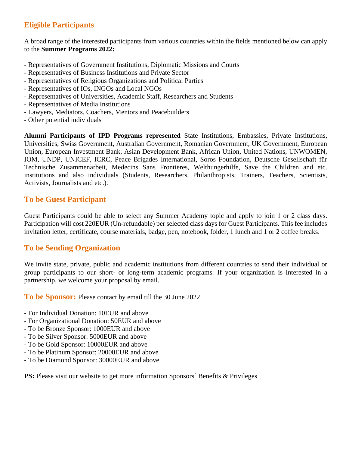# **Eligible Participants**

A broad range of the interested participants from various countries within the fields mentioned below can apply to the **Summer Programs 2022:**

- Representatives of Government Institutions, Diplomatic Missions and Courts
- Representatives of Business Institutions and Private Sector
- Representatives of Religious Organizations and Political Parties
- Representatives of IOs, INGOs and Local NGOs
- Representatives of Universities, Academic Staff, Researchers and Students
- Representatives of Media Institutions
- Lawyers, Mediators, Coachers, Mentors and Peacebuilders
- Other potential individuals

**Alumni Participants of IPD Programs represented** State Institutions, Embassies, Private Institutions, Universities, Swiss Government, Australian Government, Romanian Government, UK Government, European Union, European Investment Bank, Asian Development Bank, African Union, United Nations, UNWOMEN, IOM, UNDP, UNICEF, ICRC, Peace Brigades International, Soros Foundation, Deutsche Gesellschaft für Technische Zusammenarbeit, Medecins Sans Frontieres, Welthungerhilfe, Save the Children and etc. institutions and also individuals (Students, Researchers, Philanthropists, Trainers, Teachers, Scientists, Activists, Journalists and etc.).

## **To be Guest Participant**

Guest Participants could be able to select any Summer Academy topic and apply to join 1 or 2 class days. Participation will cost 220EUR (Un-refundable) per selected class days for Guest Participants. This fee includes invitation letter, certificate, course materials, badge, pen, notebook, folder, 1 lunch and 1 or 2 coffee breaks.

## **To be Sending Organization**

We invite state, private, public and academic institutions from different countries to send their individual or group participants to our short- or long-term academic programs. If your organization is interested in a partnership, we welcome your proposal by email.

**To be Sponsor:** Please contact by email till the 30 June 2022

- For Individual Donation: 10EUR and above
- For Organizational Donation: 50EUR and above
- To be Bronze Sponsor: 1000EUR and above
- To be Silver Sponsor: 5000EUR and above
- To be Gold Sponsor: 10000EUR and above
- To be Platinum Sponsor: 20000EUR and above
- To be Diamond Sponsor: 30000EUR and above

PS: Please visit our website to get more information Sponsors` Benefits & Privileges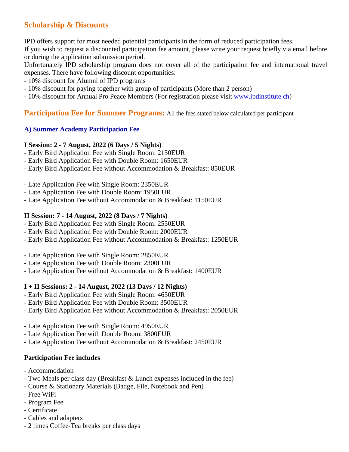# **Scholarship & Discounts**

IPD offers support for most needed potential participants in the form of reduced participation fees.

If you wish to request a discounted participation fee amount, please write your request briefly via email before or during the application submission period.

Unfortunately IPD scholarship program does not cover all of the participation fee and international travel expenses. There have following discount opportunities:

- 10% discount for Alumni of IPD programs
- 10% discount for paying together with group of participants (More than 2 person)
- 10% discount for Annual Pro Peace Members (For registration please visit [www.ipdinstitute.ch\)](http://www.ipdinstitute.ch/)

### **Participation Fee for Summer Programs:** All the fees stated below calculated per participant

### **A) Summer Academy Participation Fee**

#### **I Session: 2 - 7 August, 2022 (6 Days / 5 Nights)**

- Early Bird Application Fee with Single Room: 2150EUR
- Early Bird Application Fee with Double Room: 1650EUR
- Early Bird Application Fee without Accommodation & Breakfast: 850EUR
- Late Application Fee with Single Room: 2350EUR
- Late Application Fee with Double Room: 1950EUR
- Late Application Fee without Accommodation & Breakfast: 1150EUR

#### **II Session: 7 - 14 August, 2022 (8 Days / 7 Nights)**

- Early Bird Application Fee with Single Room: 2550EUR
- Early Bird Application Fee with Double Room: 2000EUR
- Early Bird Application Fee without Accommodation & Breakfast: 1250EUR
- Late Application Fee with Single Room: 2850EUR
- Late Application Fee with Double Room: 2300EUR
- Late Application Fee without Accommodation & Breakfast: 1400EUR

#### **I + II Sessions: 2 - 14 August, 2022 (13 Days / 12 Nights)**

- Early Bird Application Fee with Single Room: 4650EUR
- Early Bird Application Fee with Double Room: 3500EUR
- Early Bird Application Fee without Accommodation & Breakfast: 2050EUR
- Late Application Fee with Single Room: 4950EUR
- Late Application Fee with Double Room: 3800EUR
- Late Application Fee without Accommodation & Breakfast: 2450EUR

#### **Participation Fee includes**

- Accommodation
- Two Meals per class day (Breakfast & Lunch expenses included in the fee)
- Course & Stationary Materials (Badge, File, Notebook and Pen)
- Free WiFi
- Program Fee
- Certificate
- Cables and adapters
- 2 times Coffee-Tea breaks per class days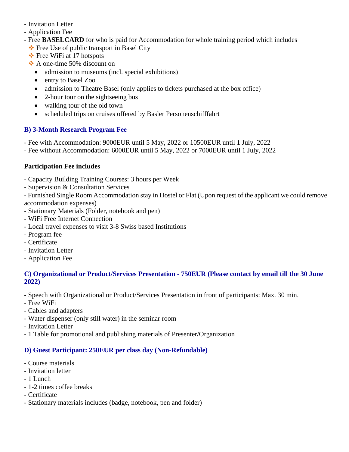- Invitation Letter
- Application Fee
- Free **BASELCARD** for who is paid for Accommodation for whole training period which includes
	- ❖ Free Use of public transport in Basel City
	- ❖ Free WiFi at 17 hotspots
	- ❖ A one-time 50% discount on
		- admission to museums (incl. special exhibitions)
		- entry to Basel Zoo
		- admission to Theatre Basel (only applies to tickets purchased at the box office)
		- 2-hour tour on the sightseeing bus
		- walking tour of the old town
		- scheduled trips on cruises offered by Basler Personenschifffahrt

## **B) 3-Month Research Program Fee**

- Fee with Accommodation: 9000EUR until 5 May, 2022 or 10500EUR until 1 July, 2022
- Fee without Accommodation: 6000EUR until 5 May, 2022 or 7000EUR until 1 July, 2022

## **Participation Fee includes**

- Capacity Building Training Courses: 3 hours per Week
- Supervision & Consultation Services

- Furnished Single Room Accommodation stay in Hostel or Flat (Upon request of the applicant we could remove accommodation expenses)

- Stationary Materials (Folder, notebook and pen)
- WiFi Free Internet Connection
- Local travel expenses to visit 3-8 Swiss based Institutions
- Program fee
- Certificate
- Invitation Letter
- Application Fee

### **C) Organizational or Product/Services Presentation - 750EUR (Please contact by email till the 30 June 2022)**

- Speech with Organizational or Product/Services Presentation in front of participants: Max. 30 min.
- Free WiFi
- Cables and adapters
- Water dispenser (only still water) in the seminar room
- Invitation Letter
- 1 Table for promotional and publishing materials of Presenter/Organization

# **D) Guest Participant: 250EUR per class day (Non-Refundable)**

- Course materials
- Invitation letter
- 1 Lunch
- 1-2 times coffee breaks
- Certificate
- Stationary materials includes (badge, notebook, pen and folder)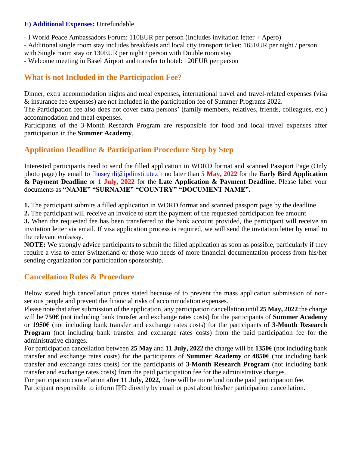#### **E) Additional Expenses:** Unrefundable

- I World Peace Ambassadors Forum: 110EUR per person (Includes invitation letter + Apero)

- Additional single room stay includes breakfasts and local city transport ticket: 165EUR per night / person with Single room stay or 130EUR per night / person with Double room stay

- Welcome meeting in Basel Airport and transfer to hotel: 120EUR per person

## **What is not Included in the Participation Fee?**

Dinner, extra accommodation nights and meal expenses, international travel and travel-related expenses (visa & insurance fee expenses) are not included in the participation fee of Summer Programs 2022.

The Participation fee also does not cover extra persons' (family members, relatives, friends, colleagues, etc.) accommodation and meal expenses.

Participants of the 3-Month Research Program are responsible for food and local travel expenses after participation in the **Summer Academy**.

## **Application Deadline & Participation Procedure Step by Step**

Interested participants need to send the filled application in WORD format and scanned Passport Page (Only photo page) by email to fhuseynli@ipdinstitute.ch no later than **5 May, 2022** for the **Early Bird Application & Payment Deadline** or **1 July, 2022** for the **Late Application & Payment Deadline.** Please label your documents as **"NAME" "SURNAME" "COUNTRY" "DOCUMENT NAME".**

**1.** The participant submits a filled application in WORD format and scanned passport page by the deadline

**2.** The participant will receive an invoice to start the payment of the requested participation fee amount

**3.** When the requested fee has been transferred to the bank account provided, the participant will receive an invitation letter via email. If visa application process is required, we will send the invitation letter by email to the relevant embassy.

**NOTE:** We strongly advice participants to submit the filled application as soon as possible, particularly if they require a visa to enter Switzerland or those who needs of more financial documentation process from his/her sending organization for participation sponsorship.

## **Cancellation Rules & Procedure**

Below stated high cancellation prices stated because of to prevent the mass application submission of nonserious people and prevent the financial risks of accommodation expenses.

Please note that after submission of the application, any participation cancellation until **25 May, 2022** the charge will be **750€** (not including bank transfer and exchange rates costs) for the participants of **Summer Academy** or **1950€** (not including bank transfer and exchange rates costs) for the participants of **3-Month Research Program** (not including bank transfer and exchange rates costs) from the paid participation fee for the administrative charges.

For participation cancellation between **25 May** and **11 July, 2022** the charge will be **1350€** (not including bank transfer and exchange rates costs) for the participants of **Summer Academy** or **4850€** (not including bank transfer and exchange rates costs) for the participants of **3-Month Research Program** (not including bank transfer and exchange rates costs) from the paid participation fee for the administrative charges.

For participation cancellation after **11 July, 2022,** there will be no refund on the paid participation fee.

Participant responsible to inform IPD directly by email or post about his/her participation cancellation.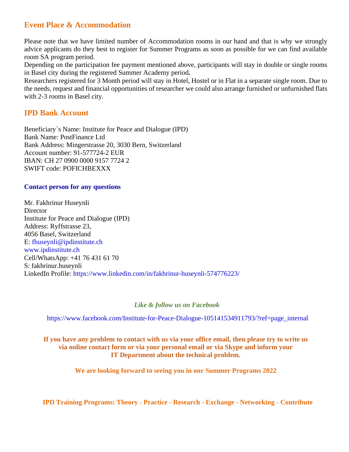## **Event Place & Accommodation**

Please note that we have limited number of Accommodation rooms in our hand and that is why we strongly advice applicants do they best to register for Summer Programs as soon as possible for we can find available room SA program period.

Depending on the participation fee payment mentioned above, participants will stay in double or single rooms in Basel city during the registered Summer Academy period**.**

Researchers registered for 3 Month period will stay in Hotel, Hostel or in Flat in a separate single room. Due to the needs, request and financial opportunities of researcher we could also arrange furnished or unfurnished flats with 2-3 rooms in Basel city.

### **IPD Bank Account**

Beneficiary`s Name: Institute for Peace and Dialogue (IPD) Bank Name: PostFinance Ltd Bank Address: Mingerstrasse 20, 3030 Bern, Switzerland Account number: 91-577724-2 EUR IBAN: CH 27 0900 0000 9157 7724 2 SWIFT code: POFICHBEXXX

#### **Contact person for any questions**

Mr. Fakhrinur Huseynli Director Institute for Peace and Dialogue (IPD) Address: Ryffstrasse 23, 4056 Basel, Switzerland E: fhuseynli@ipdinstitute.ch www.ipdinstitute.ch Cell/WhatsApp: +41 76 431 61 70 S: fakhrinur.huseynli LinkedIn Profile: https://www.linkedin.com/in/fakhrinur-huseynli-574776223/

#### *Like & follow us on Facebook*

[https://www.facebook.com/Institute-for-Peace-Dialogue-105141534911793/?ref=page\\_internal](https://www.facebook.com/Institute-for-Peace-Dialogue-105141534911793/?ref=page_internal)

#### If you have any problem to contact with us via your office email, then please try to write us **via online contact form or via your personal email or via Skype and inform your IT Department about the technical problem.**

**We are looking forward to seeing you in our Summer Programs 2022**

**IPD Training Programs: Theory - Practice - Research - Exchange - Networking - Contribute**